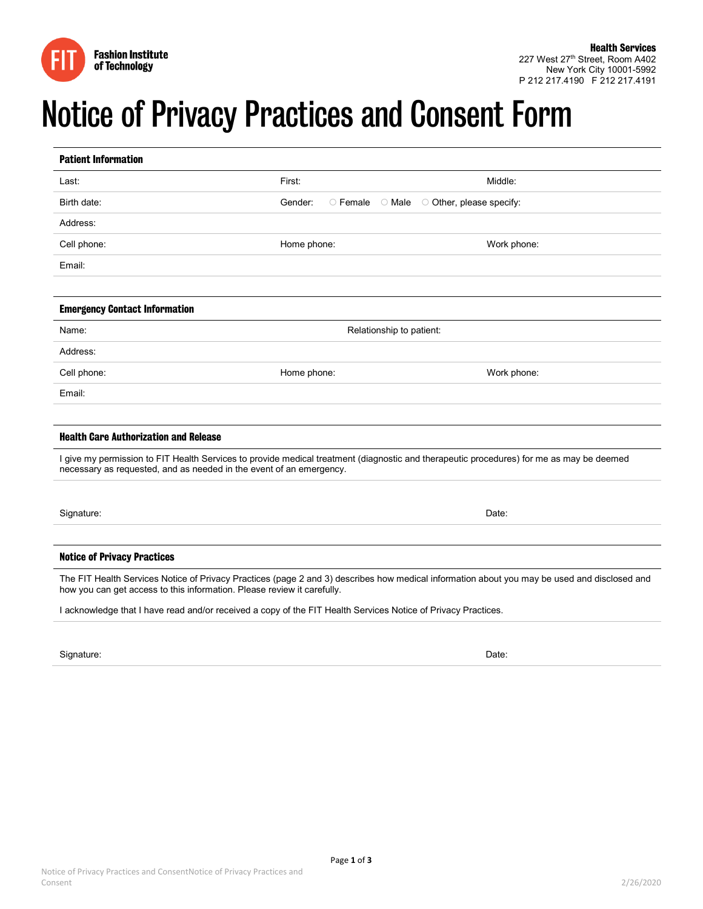

## Notice of Privacy Practices and Consent Form

| Last:                                                                   | First:                                                                                                        | Middle:                                                                                                                                      |  |
|-------------------------------------------------------------------------|---------------------------------------------------------------------------------------------------------------|----------------------------------------------------------------------------------------------------------------------------------------------|--|
| Birth date:                                                             | Gender:<br>○ Female<br>◯ Male                                                                                 | O Other, please specify:                                                                                                                     |  |
| Address:                                                                |                                                                                                               |                                                                                                                                              |  |
| Cell phone:                                                             | Home phone:                                                                                                   | Work phone:                                                                                                                                  |  |
| Email:                                                                  |                                                                                                               |                                                                                                                                              |  |
|                                                                         |                                                                                                               |                                                                                                                                              |  |
| <b>Emergency Contact Information</b>                                    |                                                                                                               |                                                                                                                                              |  |
| Name:                                                                   |                                                                                                               | Relationship to patient:                                                                                                                     |  |
| Address:                                                                |                                                                                                               |                                                                                                                                              |  |
| Cell phone:                                                             | Home phone:                                                                                                   | Work phone:                                                                                                                                  |  |
| Email:                                                                  |                                                                                                               |                                                                                                                                              |  |
|                                                                         |                                                                                                               |                                                                                                                                              |  |
| <b>Health Care Authorization and Release</b>                            |                                                                                                               |                                                                                                                                              |  |
| necessary as requested, and as needed in the event of an emergency.     |                                                                                                               | I give my permission to FIT Health Services to provide medical treatment (diagnostic and therapeutic procedures) for me as may be deemed     |  |
|                                                                         |                                                                                                               |                                                                                                                                              |  |
| Signature:                                                              |                                                                                                               | Date:                                                                                                                                        |  |
| <b>Notice of Privacy Practices</b>                                      |                                                                                                               |                                                                                                                                              |  |
| how you can get access to this information. Please review it carefully. |                                                                                                               | The FIT Health Services Notice of Privacy Practices (page 2 and 3) describes how medical information about you may be used and disclosed and |  |
|                                                                         | I acknowledge that I have read and/or received a copy of the FIT Health Services Notice of Privacy Practices. |                                                                                                                                              |  |

Signature: Date: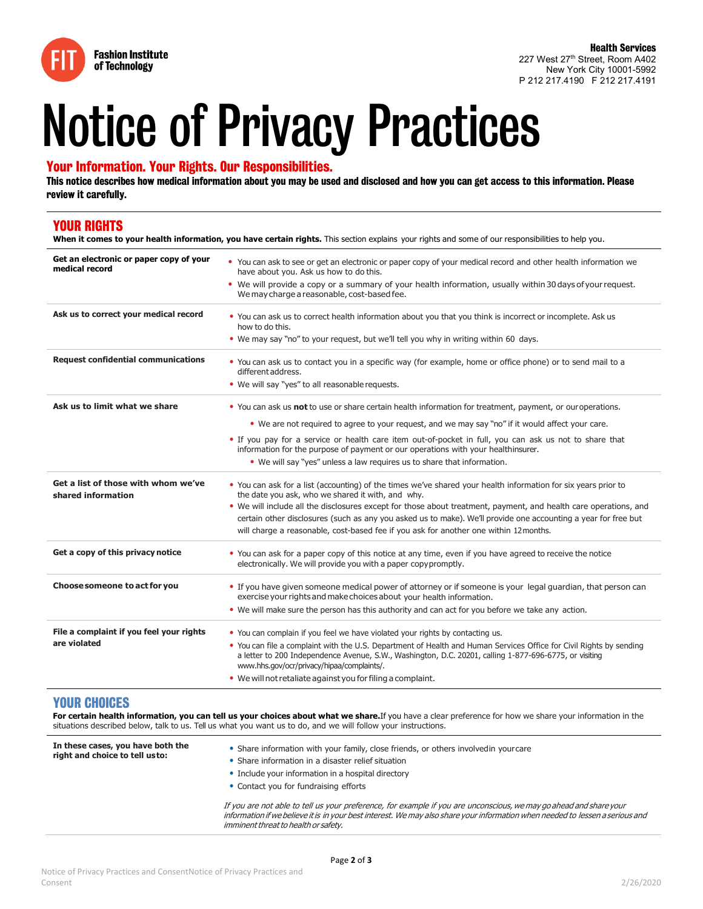

# Notice of Privacy Practices

#### Your Information. Your Rights. Our Responsibilities.

This notice describes how medical information about you may be used and disclosed and how you can get access to this information. Please review it carefully.

#### YOUR RIGHTS

| <b>When it comes to your health information, you have certain rights.</b> This section explains your rights and some of our responsibilities to help you. |                                                                                                                                                                                                                                                                             |  |
|-----------------------------------------------------------------------------------------------------------------------------------------------------------|-----------------------------------------------------------------------------------------------------------------------------------------------------------------------------------------------------------------------------------------------------------------------------|--|
| Get an electronic or paper copy of your<br>medical record                                                                                                 | • You can ask to see or get an electronic or paper copy of your medical record and other health information we<br>have about you. Ask us how to do this.                                                                                                                    |  |
|                                                                                                                                                           | . We will provide a copy or a summary of your health information, usually within 30 days of your request.<br>We may charge a reasonable, cost-based fee.                                                                                                                    |  |
| Ask us to correct your medical record                                                                                                                     | • You can ask us to correct health information about you that you think is incorrect or incomplete. Ask us<br>how to do this.                                                                                                                                               |  |
|                                                                                                                                                           | . We may say "no" to your request, but we'll tell you why in writing within 60 days.                                                                                                                                                                                        |  |
| <b>Request confidential communications</b>                                                                                                                | . You can ask us to contact you in a specific way (for example, home or office phone) or to send mail to a<br>different address.                                                                                                                                            |  |
|                                                                                                                                                           | . We will say "yes" to all reasonable requests.                                                                                                                                                                                                                             |  |
| Ask us to limit what we share                                                                                                                             | . You can ask us not to use or share certain health information for treatment, payment, or our operations.                                                                                                                                                                  |  |
|                                                                                                                                                           | . We are not required to agree to your request, and we may say "no" if it would affect your care.                                                                                                                                                                           |  |
|                                                                                                                                                           | . If you pay for a service or health care item out-of-pocket in full, you can ask us not to share that<br>information for the purpose of payment or our operations with your healthinsurer.                                                                                 |  |
|                                                                                                                                                           | . We will say "yes" unless a law requires us to share that information.                                                                                                                                                                                                     |  |
| Get a list of those with whom we've<br>shared information                                                                                                 | • You can ask for a list (accounting) of the times we've shared your health information for six years prior to<br>the date you ask, who we shared it with, and why.                                                                                                         |  |
|                                                                                                                                                           | . We will include all the disclosures except for those about treatment, payment, and health care operations, and                                                                                                                                                            |  |
|                                                                                                                                                           | certain other disclosures (such as any you asked us to make). We'll provide one accounting a year for free but<br>will charge a reasonable, cost-based fee if you ask for another one within 12 months.                                                                     |  |
|                                                                                                                                                           |                                                                                                                                                                                                                                                                             |  |
| Get a copy of this privacy notice                                                                                                                         | . You can ask for a paper copy of this notice at any time, even if you have agreed to receive the notice<br>electronically. We will provide you with a paper copy promptly.                                                                                                 |  |
| Choose someone to act for you                                                                                                                             | • If you have given someone medical power of attorney or if someone is your legal quardian, that person can<br>exercise your rights and make choices about your health information.                                                                                         |  |
|                                                                                                                                                           | . We will make sure the person has this authority and can act for you before we take any action.                                                                                                                                                                            |  |
| File a complaint if you feel your rights                                                                                                                  | • You can complain if you feel we have violated your rights by contacting us.                                                                                                                                                                                               |  |
| are violated                                                                                                                                              | . You can file a complaint with the U.S. Department of Health and Human Services Office for Civil Rights by sending<br>a letter to 200 Independence Avenue, S.W., Washington, D.C. 20201, calling 1-877-696-6775, or visiting<br>www.hhs.gov/ocr/privacy/hipaa/complaints/. |  |
|                                                                                                                                                           | • We will not retaliate against you for filing a complaint.                                                                                                                                                                                                                 |  |

#### YOUR CHOICES

For certain health information, you can tell us your choices about what we share.If you have a clear preference for how we share your information in the situations described below, talk to us. Tell us what you want us to do, and we will follow your instructions.

| In these cases, you have both the<br>right and choice to tell usto: | • Share information with your family, close friends, or others involved in your care<br>• Share information in a disaster relief situation<br>• Include your information in a hospital directory<br>• Contact you for fundraising efforts                                                   |
|---------------------------------------------------------------------|---------------------------------------------------------------------------------------------------------------------------------------------------------------------------------------------------------------------------------------------------------------------------------------------|
|                                                                     | If you are not able to tell us your preference, for example if you are unconscious, we may go ahead and share your<br>information if we believe it is in your best interest. We may also share your information when needed to lessen a serious and<br>imminent threat to health or safety. |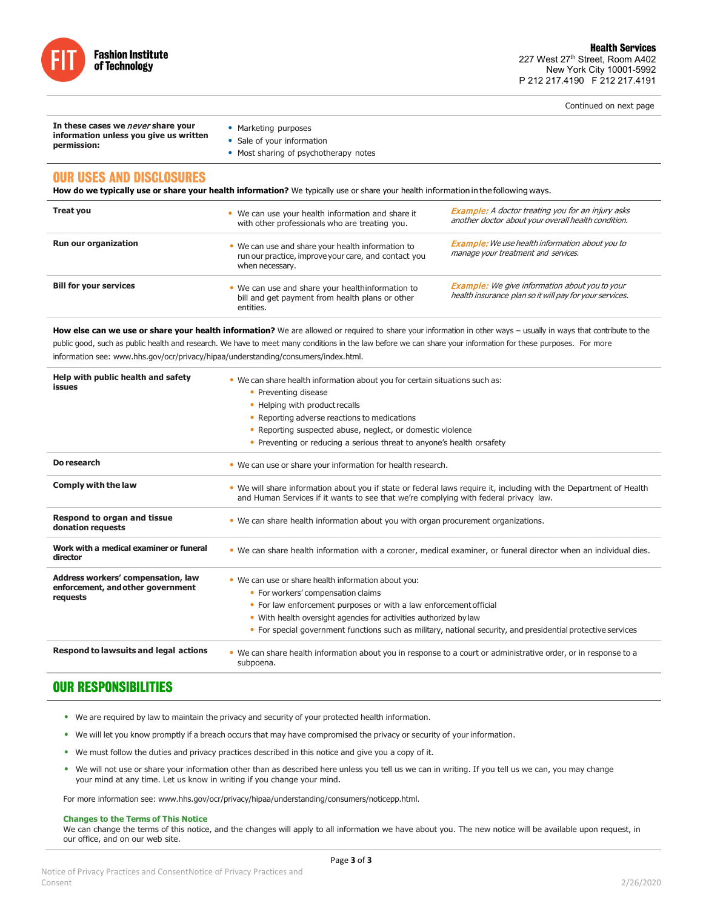| <b>Fashion Institute</b><br>of Technology |  |  |
|-------------------------------------------|--|--|
|                                           |  |  |

Continued on next page

**In these cases we** never **share your information unless you give us written permission:**

 $\cdot$   $\cdot$   $\cdot$   $\cdot$ 

• Marketing purposes

- Sale of your information
- Most sharing of psychotherapy notes

#### OUR USES AND DISCLOSURES

**How do we typically use or share your health information?** We typically use or share your health information in the following ways.

| <b>Treat you</b>              | • We can use your health information and share it<br>with other professionals who are treating you.                          | <b>Example:</b> A doctor treating you for an injury asks<br>another doctor about your overall health condition.  |
|-------------------------------|------------------------------------------------------------------------------------------------------------------------------|------------------------------------------------------------------------------------------------------------------|
| <b>Run our organization</b>   | • We can use and share your health information to<br>run our practice, improve your care, and contact you<br>when necessary. | <b>Example:</b> We use health information about you to<br>manage your treatment and services.                    |
| <b>Bill for your services</b> | • We can use and share your healthinformation to<br>bill and get payment from health plans or other<br>entities.             | <b>Example:</b> We give information about you to your<br>health insurance plan so it will pay for your services. |

How else can we use or share your health information? We are allowed or required to share your information in other ways – usually in ways that contribute to the public good, such as public health and research. We have to meet many conditions in the law before we can share your information for these purposes. For more information see: [www.hhs.gov/ocr/privacy/hipaa/understanding/consumers/index.html.](http://www.hhs.gov/ocr/privacy/hipaa/understanding/consumers/index.html)

| Help with public health and safety<br>issues                                        | • We can share health information about you for certain situations such as:<br>• Preventing disease<br>• Helping with product recalls<br>• Reporting adverse reactions to medications<br>• Reporting suspected abuse, neglect, or domestic violence<br>• Preventing or reducing a serious threat to anyone's health or safety                       |
|-------------------------------------------------------------------------------------|-----------------------------------------------------------------------------------------------------------------------------------------------------------------------------------------------------------------------------------------------------------------------------------------------------------------------------------------------------|
| Do research                                                                         | • We can use or share your information for health research.                                                                                                                                                                                                                                                                                         |
| Comply with the law                                                                 | . We will share information about you if state or federal laws require it, including with the Department of Health<br>and Human Services if it wants to see that we're complying with federal privacy law.                                                                                                                                          |
| <b>Respond to organ and tissue</b><br>donation requests                             | . We can share health information about you with organ procurement organizations.                                                                                                                                                                                                                                                                   |
| Work with a medical examiner or funeral<br>director                                 | . We can share health information with a coroner, medical examiner, or funeral director when an individual dies.                                                                                                                                                                                                                                    |
| Address workers' compensation, law<br>enforcement, and other government<br>requests | . We can use or share health information about you:<br>• For workers' compensation claims<br>• For law enforcement purposes or with a law enforcement official<br>• With health oversight agencies for activities authorized by law<br>• For special government functions such as military, national security, and presidential protective services |
| <b>Respond to lawsuits and legal actions</b>                                        | . We can share health information about you in response to a court or administrative order, or in response to a<br>subpoena.                                                                                                                                                                                                                        |

### OUR RESPONSIBILITIES

- We are required by law to maintain the privacy and security of your protected health information.
- We will let you know promptly if a breach occurs that may have compromised the privacy or security of yourinformation.
- We must follow the duties and privacy practices described in this notice and give you a copy of it.
- We will not use or share your information other than as described here unless you tell us we can in writing. If you tell us we can, you may change your mind at any time. Let us know in writing if you change your mind.

For more information see: [www.hhs.gov/ocr/privacy/hipaa/understanding/consumers/noticepp.html.](http://www.hhs.gov/ocr/privacy/hipaa/understanding/consumers/noticepp.html)

#### **Changes to the Terms of This Notice**

We can change the terms of this notice, and the changes will apply to all information we have about you. The new notice will be available upon request, in our office, and on our web site.